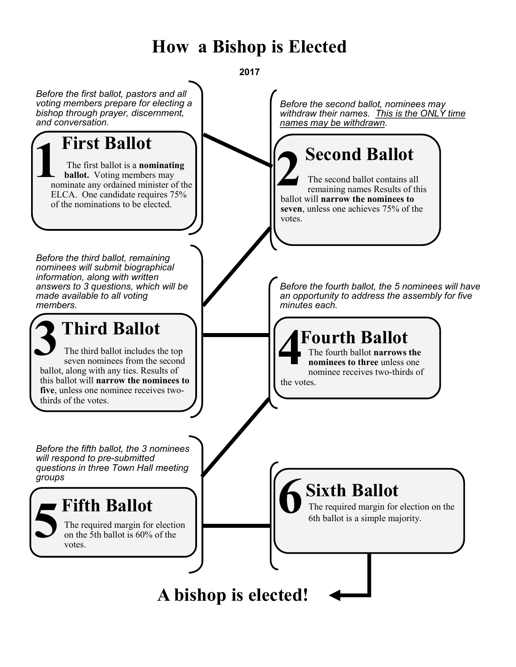## **How a Bishop is Elected**